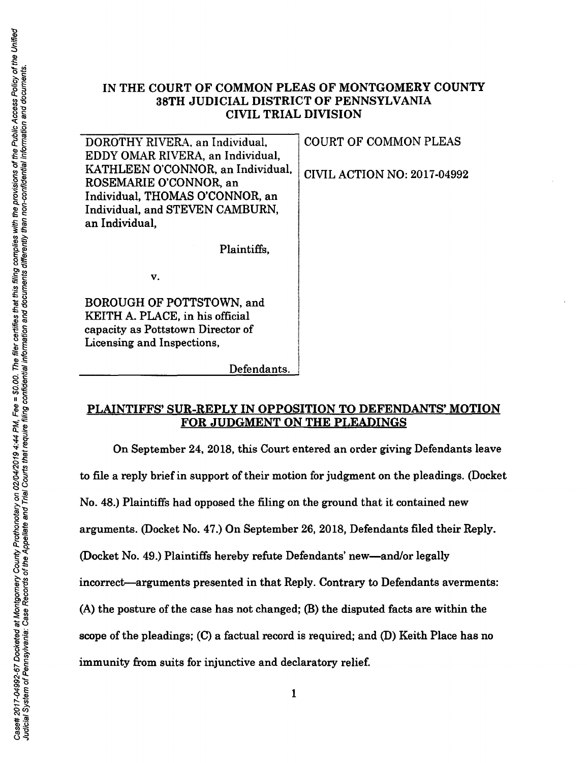## IN THE COURT OF COMMON PLEAS OF MONTGOMERY COUNTY 38TH JUDICIAL DISTRICT OF PENNSYLVANIA CIVIL TRIAL DIVISION

| DOROTHY RIVERA, an Individual,    | <b>COURT OF COMMON PLEAS</b>       |
|-----------------------------------|------------------------------------|
| EDDY OMAR RIVERA, an Individual,  |                                    |
| KATHLEEN O'CONNOR, an Individual, | <b>CIVIL ACTION NO: 2017-04992</b> |
| ROSEMARIE O'CONNOR, an            |                                    |
| Individual, THOMAS O'CONNOR, an   |                                    |
| Individual, and STEVEN CAMBURN,   |                                    |
| an Individual,                    |                                    |
|                                   |                                    |
| Plaintiffs,                       |                                    |
|                                   |                                    |
| v.                                |                                    |
|                                   |                                    |
| <b>BOROUGH OF POTTSTOWN, and</b>  |                                    |
| KEITH A. PLACE, in his official   |                                    |
| capacity as Pottstown Director of |                                    |
| Licensing and Inspections,        |                                    |

### PLAINTIFFS' SUR-REPLY IN OPPOSITION TO DEFENDANTS' MOTION FOR JUDGMENT ON THE PLEADINGS

!

Defendants.

On September 24, 2018, this Court entered an order giving Defendants leave to file a reply brief in support of their motion for judgment on the pleadings. (Docket No. 48.) Plaintiffs had opposed the filing on the ground that it contained new arguments. (Docket No. 47.) On September 26, 2018, Defendants filed their Reply. (Docket No. 49.) Plaintiffs hereby refute Defendants' new-and/or legally incorrect-arguments presented in that Reply. Contrary to Defendants averments: (A) the posture of the case has not changed; (B) the disputed facts are within the scope of the pleadings; (C) a factual record is required; and (D) Keith Place has no immunity from suits for injunctive and declaratory relief.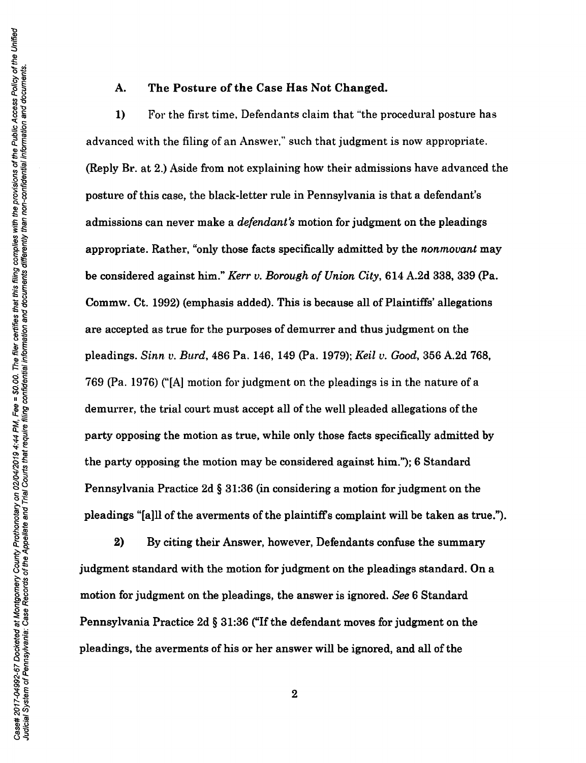#### A. The Posture of the Case Has Not Changed.

1) For the first time. Defendants claim that "'the procedural posture has advanced with the filing of an Answer," such that judgment is now appropriate. (Reply Br. at 2.) Aside from not explaining how their admissions have advanced the posture of this case, the black-letter rule in Pennsylvania is that a defendant's admissions can never make a *defendant's* motion for judgment on the pleadings appropriate. Rather, "only those facts specifically admitted by the *nonmovant* may be considered against him." *Kerr v. Borough of Union City*, 614 A.2d 338, 339 (Pa. Commw. Ct. 1992) (emphasis added). This is because all of Plaintiffs' allegations are accepted as true for the purposes of demurrer and thus judgment on the pleadings. *Sinn v. Burd,* 486 Pa. 146, 149 (Pa. 1979); *Keil v. Good,* 356 A.2d 768, 769 (Pa. 1976) ("[A] motion for judgment on the pleadings is in the nature of a demurrer, the trial court must accept all of the well pleaded allegations of the party opposing the motion as true, while only those facts specifically admitted by the party opposing the motion may be considered against him."); 6 Standard Pennsylvania Practice 2d § 31:36 (in considering a motion for judgment on the pleadings "[a]ll of the averments of the plaintiffs complaint will be taken as true.").

2) By citing their Answer, however, Defendants confuse the summary judgment standard with the motion for judgment on the pleadings standard. On a motion for judgment on the pleadings, the answer is ignored. *See* 6 Standard Pennsylvania Practice 2d § 31:36 ("If the defendant moves for judgment on the pleadings, the averments of his or her answer will be ignored, and all of the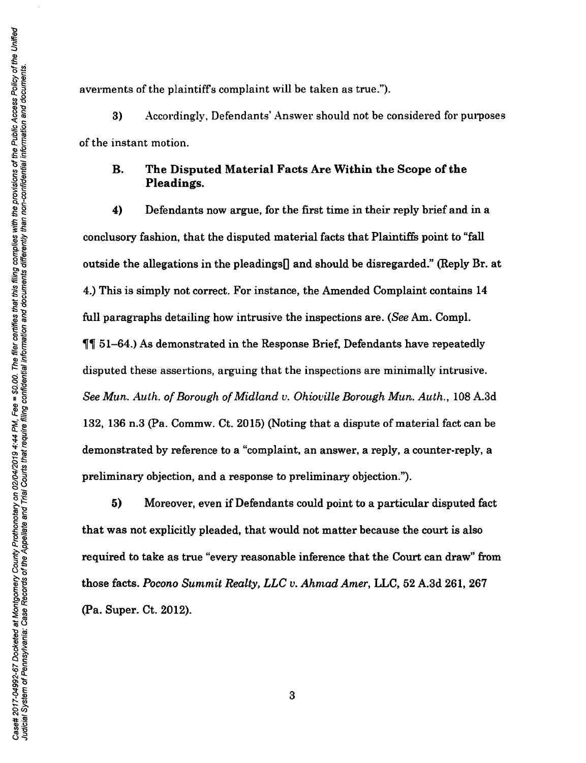averments of the plaintiffs complaint will be taken as true.").

3) Accordingly. Defendants' Answer should not be considered for purposes of the instant motion.

## B. The Disputed Material Facts Are Within the Scope of the Pleadings.

4) Defendants now argue, for the first time in their reply brief and in a conclusory fashion, that the disputed material facts that Plaintiffs point to "fall outside the allegations in the pleadings<sup>[]</sup> and should be disregarded." (Reply Br. at 4.) This is simply not correct. For instance, the Amended Complaint contains 14 full paragraphs detailing how intrusive the inspections are. *(See* Am. Compl.  $\P$  51–64.) As demonstrated in the Response Brief, Defendants have repeatedly disputed these assertions, arguing that the inspections are minimally intrusive. *See Mun. Auth. of Borough of Midland v. Ohioville Borough Mun. Auth.,* 108 A.3d 132, 136 n.3 (Pa. Commw. Ct. 2015) (Noting that a dispute of material fact can be demonstrated by reference to a "complaint, an answer, a reply, a counter-reply, a preliminary objection, and a response to preliminary objection.").

5) Moreover, even if Defendants could point to a particular disputed fact that was not explicitly pleaded, that would not matter because the court is also required to take as true "every reasonable inference that the Court can draw" from those facts. *Pocono Summit Realty, LLC v. Ahmad Amer,* LLC, 52 A.3d 261, 267 (Pa. Super. Ct. 2012).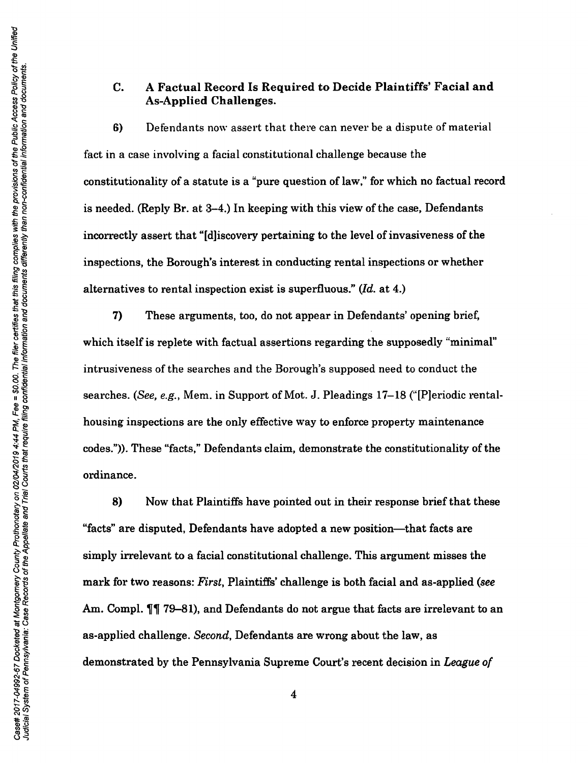#### C. A Factual Record Is Required to Decide Plaintiffs' Facial and As-Applied Challenges.

6) Defendants now assert that there can never be a dispute of material fact in a case involving a facial constitutional challenge because the constitutionality of a statute is a "pure question of law," for which no factual record is needed. (Reply Br. at 3-4.) In keeping with this view of the case, Defendants incorrectly assert that "[d]iscovery pertaining to the level of invasiveness of the inspections, the Borough's interest in conducting rental inspections or whether alternatives to rental inspection exist is superfluous." *(Id.* at 4.)

7) These arguments, too, do not appear in Defendants' opening brief, which itself is replete with factual assertions regarding the supposedly "minimal" intrusiveness of the searches and the Borough's supposed need to conduct the searches. (See, *e.g.,* Mem. in Support of Mot. J. Pleadings 17-18 ("[P]eriodic rentalhousing inspections are the only effective way to enforce property maintenance codes.")). These "facts," Defendants claim, demonstrate the constitutionality of the ordinance.

8) Now that Plaintiffs have pointed out in their response brief that these "facts" are disputed, Defendants have adopted a new position-that facts are simply irrelevant to a facial constitutional challenge. This argument misses the mark for two reasons: *First,* Plaintiffs' challenge is both facial and as-applied *(see*  Am. Compl.  $\P\P$  79-81), and Defendants do not argue that facts are irrelevant to an as-applied challenge. *Second,* Defendants are wrong about the law, as demonstrated by the Pennsylvania Supreme Court's recent decision in *League of*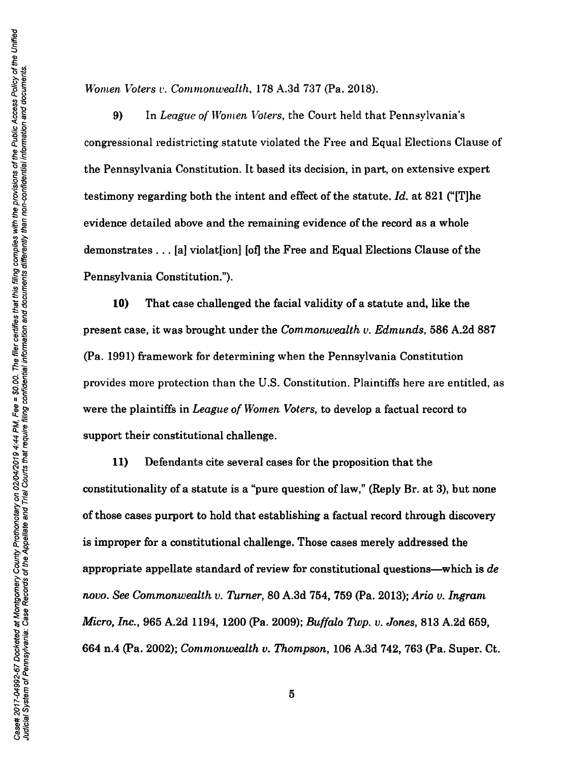*Women Voters v. Commonwealth,* 178 A.3d 737 (Pa. 2018).

9) In *League of Women Voters, the Court held that Pennsylvania's* congressional redistricting statute violated the Free and Equal Elections Clause of the Pennsylvania Constitution. It based its decision, in part, on extensive expert testimony regarding both the intent and effect of the statute. *Id.* at 821 ("[T]he evidence detailed above and the remaining evidence of the record as a whole demonstrates ... [a] violat[ion] [of] the Free and Equal Elections Clause of the Pennsylvania Constitution.").

10) That case challenged the facial validity of a statute and, like the present case, it was brought under the *Commonwealth v. Edmunds,* 586 A.2d 887 (Pa. 1991) framework for determining when the Pennsylvania Constitution provides more protection than the U.S. Constitution. Plaintiffs here are entitled, as were the plaintiffs in *League of Women Voters,* to develop a factual record to support their constitutional challenge.

11) Defendants cite several cases for the proposition that the constitutionality of a statute is a "pure question of law," (Reply Br. at 3), but none of those cases purport to hold that establishing a factual record through discovery is improper for a constitutional challenge. Those cases merely addressed the appropriate appellate standard of review for constitutional questions-which is *de novo. See Commonwealth v. Turner, BO* A.3d 754, 759 (Pa. 2013); *Ario v. Ingram Micro, Inc.,* 965 A.2d 1194, 1200 (Pa. 2009); *Buffalo Twp. v. Jones,* 813 A.2d 659, 664 n.4 (Pa. 2002); *Commonwealth v. Thompson,* 106 A.3d 742, 763 (Pa. Super. Ct.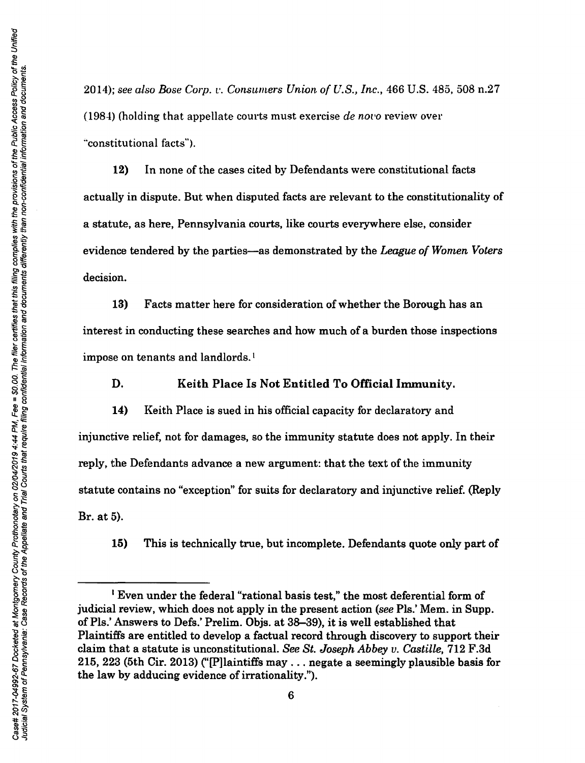2014); *see also Bose Corp.* t'. *Consumers Union of U.S., Inc.,* 466 U.S. 485, 508 n.27 (1984) (holding that appellate courts must exercise *de nor•o* review over "constitutional facts").

12) In none of the cases cited by Defendants were constitutional facts actually in dispute. But when disputed facts are relevant to the constitutionality of a statute, as here, Pennsylvania courts, like courts everywhere else, consider evidence tendered by the parties-as demonstrated by the *League of Women Voters*  decision.

13) Facts matter here for consideration of whether the Borough has an interest in conducting these searches and how much of a burden those inspections impose on tenants and landlords. <sup>1</sup>

D. Keith Place Is Not Entitled To Official Immunity.

14) Keith Place is sued in his official capacity for declaratory and injunctive relief, not for damages, so the immunity statute does not apply. In their reply, the Defendants advance a new argument: that the text of the immunity statute contains no "exception" for suits for declaratory and injunctive relief. (Reply Br. at 5).

15) This is technically true, but incomplete. Defendants quote only part of

<sup>&</sup>lt;sup>1</sup> Even under the federal "rational basis test," the most deferential form of judicial review, which does not apply in the present action *(see* Pis.' Mem. in Supp. of Pls.' Answers to Defs.' Prelim. Objs. at 38-39), it is well established that Plaintiffs are entitled to develop a factual record through discovery to support their claim that a statute is unconstitutional. *See St. Joseph Abbey v. Castille,* 712 F.3d 215, 223 (5th Cir. 2013) ("[P]laintiffs may ... negate a seemingly plausible basis for the law by adducing evidence of irrationality.'').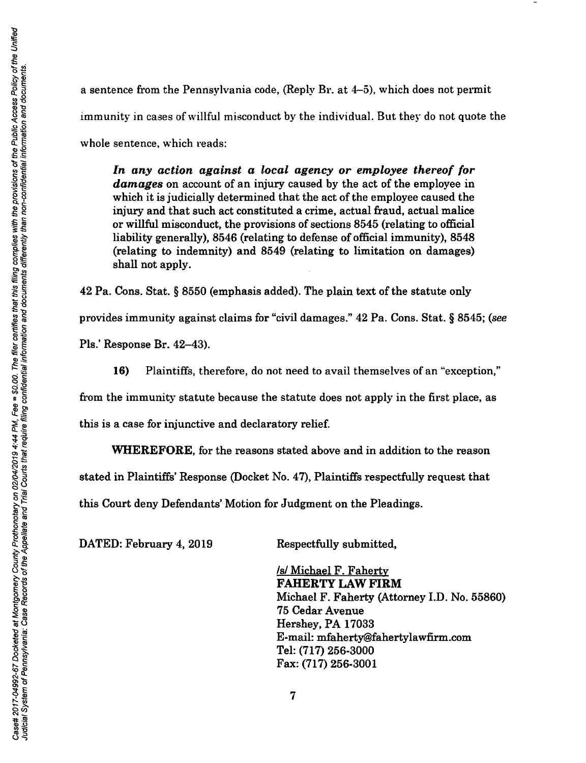a sentence from the Pennsylvania code, (Reply Br. at 4-5), which does not permit immunity in cases of willful misconduct by the individual. But they do not quote the whole sentence, which reads:

*In any action against a local agency or employee thereof for damages* on account of an injury caused by the act of the employee in which it is judicially determined that the act of the employee caused the injury and that such act constituted a crime, actual fraud, actual malice or willful misconduct, the provisions of sections 8545 (relating to official liability generally), 8546 (relating to defense of official immunity), 8548 (relating to indemnity) and 8549 (relating to limitation on damages) shall not apply.

42 Pa. Cons. Stat. § 8550 (emphasis added). The plain text of the statute only provides immunity against claims for "civil damages." 42 Pa. Cons. Stat. § 8545; (see Pls.' Response Br. 42-43).

16) Plaintiffs, therefore, do not need to avail themselves of an "exception,"

from the immunity statute because the statute does not apply in the first place, as

this is a case for injunctive and declaratory relief.

WHEREFORE, for the reasons stated above and in addition to the reason

stated in Plaintiffs' Response (Docket No. 4 7), Plaintiffs respectfully request that

this Court deny Defendants' Motion for Judgment on the Pleadings.

DATED: February 4, 2019 Respectfully submitted,

/s/ Michael F. Faherty FAHERTY LAW FIRM Michael F. Faherty (Attorney I.D. No. 55860) 75 Cedar Avenue Hershey, PA 17033 E-mail: mfaherty@fahertylawfirm.com Tel: (717) 256-3000 Fax: (717) 256-3001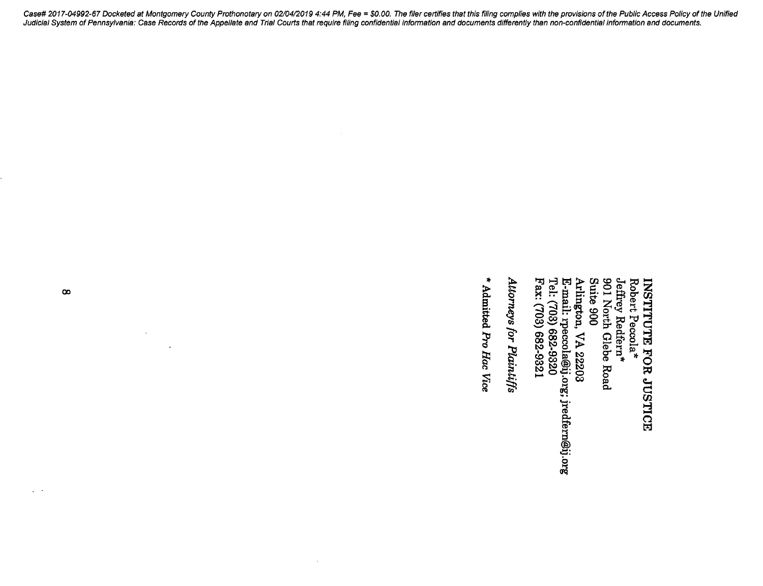Robert Peccola\*<br>Jeffrey Redfern\*<br>901 North Glebe Road<br>Suite 900 E-mail: rpecola@ij.org; jredfern@ij.org<br>Tel: (703) 682-9320 Fax: (703) 682-9321 Arlington, VA 22203 INSTITUTE FOR JUSTICE

Attorneys for Plaintiffs

\* Admitted Pro Hac Vice

 $\bar{z}$ 

 $\infty$ 

 $\sim$   $\sim$ 

 $\ddot{\phantom{a}}$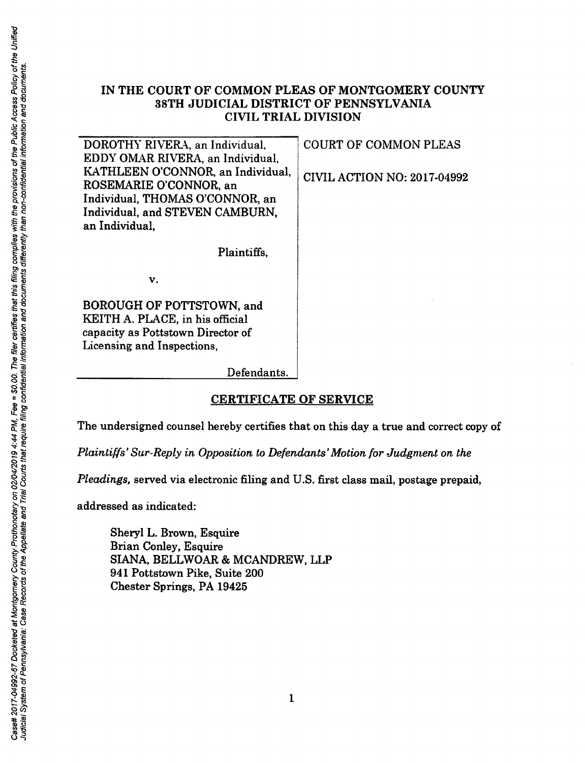# IN THE COURT OF COMMON PLEAS OF MONTGOMERY COUNTY 38TH JUDICIAL DISTRICT OF PENNSYLVANIA **CIVIL TRIAL DIVISION**

| the Pul<br>Ĕ            | DOROTHY RIVERA, an Individual,    | <b>COURT OF COMMON PLEAS</b>       |
|-------------------------|-----------------------------------|------------------------------------|
| õ                       | EDDY OMAR RIVERA, an Individual,  |                                    |
| lential                 | KATHLEEN O'CONNOR, an Individual, | <b>CIVIL ACTION NO: 2017-04992</b> |
| provisions              | ROSEMARIE O'CONNOR, an            |                                    |
|                         | Individual, THOMAS O'CONNOR, an   |                                    |
| eų                      | Individual, and STEVEN CAMBURN,   |                                    |
| than<br>with            | an Individual,                    |                                    |
|                         |                                   |                                    |
| complies<br>differently | Plaintiffs,                       |                                    |
|                         |                                   |                                    |
| filing                  | v.                                |                                    |
| this<br>ىيە             |                                   |                                    |
|                         |                                   |                                    |

 $\frac{36}{5}$  BOROUGH OF POTTSTOWN, and KEITH A. PLACE, in his official capacity as Pottstown Director of Licensing and Inspections,

ድ <sub>33</sub><br>03 \$P<br>03 \$P

# **CERTIFICATE OF SERVICE**

The undersigned counsel hereby certifies that on this day a true and correct copy of

 $Plaintiff's' Sur-Reply in Opposition to Defendants' Motion for Judgment on the$ 

~~ *@8 Pleadings,* served via electronic filing and U.S. first class mail, postage prepaid,

addressed as indicated:

Sheryl L. Brown, Esquire Brian Conley, Esquire SIANA, BELLWOAR & MCANDREW, LLP 941 Pottstown Pike, Suite 200 Chester Springs, PA 19425